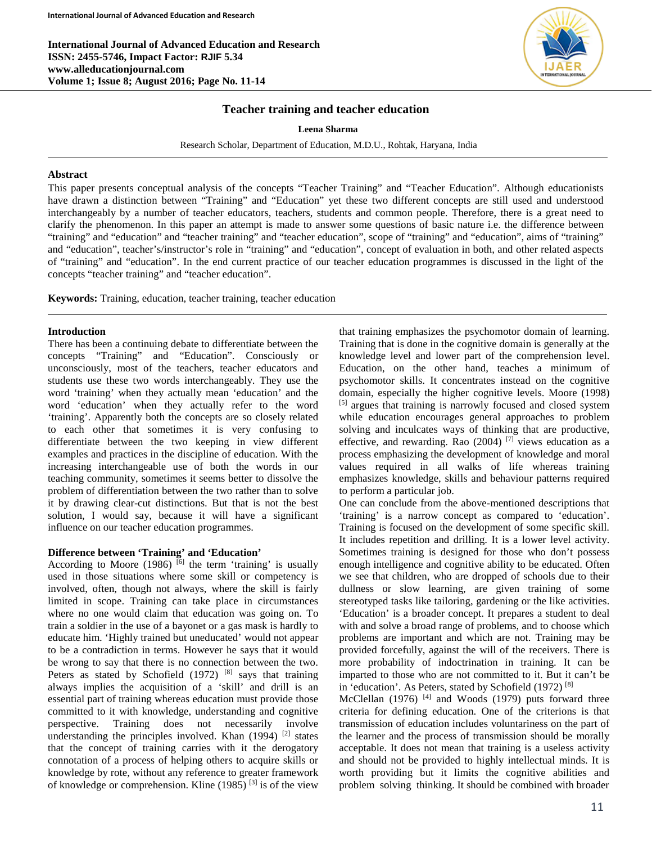**International Journal of Advanced Education and Research ISSN: 2455-5746, Impact Factor: RJIF 5.34 www.alleducationjournal.com Volume 1; Issue 8; August 2016; Page No. 11-14**



### **Teacher training and teacher education**

**Leena Sharma**

Research Scholar, Department of Education, M.D.U., Rohtak, Haryana, India

#### **Abstract**

This paper presents conceptual analysis of the concepts "Teacher Training" and "Teacher Education". Although educationists have drawn a distinction between "Training" and "Education" yet these two different concepts are still used and understood interchangeably by a number of teacher educators, teachers, students and common people. Therefore, there is a great need to clarify the phenomenon. In this paper an attempt is made to answer some questions of basic nature i.e. the difference between "training" and "education" and "teacher training" and "teacher education", scope of "training" and "education", aims of "training" and "education", teacher's/instructor's role in "training" and "education", concept of evaluation in both, and other related aspects of "training" and "education". In the end current practice of our teacher education programmes is discussed in the light of the concepts "teacher training" and "teacher education".

**Keywords:** Training, education, teacher training, teacher education

#### **Introduction**

There has been a continuing debate to differentiate between the concepts "Training" and "Education". Consciously or unconsciously, most of the teachers, teacher educators and students use these two words interchangeably. They use the word 'training' when they actually mean 'education' and the word 'education' when they actually refer to the word 'training'. Apparently both the concepts are so closely related to each other that sometimes it is very confusing to differentiate between the two keeping in view different examples and practices in the discipline of education. With the increasing interchangeable use of both the words in our teaching community, sometimes it seems better to dissolve the problem of differentiation between the two rather than to solve it by drawing clear-cut distinctions. But that is not the best solution, I would say, because it will have a significant influence on our teacher education programmes.

#### **Difference between 'Training' and 'Education'**

According to Moore (1986)  $\overline{6}$  the term 'training' is usually used in those situations where some skill or competency is involved, often, though not always, where the skill is fairly limited in scope. Training can take place in circumstances where no one would claim that education was going on. To train a soldier in the use of a bayonet or a gas mask is hardly to educate him. 'Highly trained but uneducated' would not appear to be a contradiction in terms. However he says that it would be wrong to say that there is no connection between the two. Peters as stated by Schofield  $(1972)$  [8] says that training always implies the acquisition of a 'skill' and drill is an essential part of training whereas education must provide those committed to it with knowledge, understanding and cognitive perspective. Training does not necessarily involve understanding the principles involved. Khan (1994) <sup>[2]</sup> states that the concept of training carries with it the derogatory connotation of a process of helping others to acquire skills or knowledge by rote, without any reference to greater framework of knowledge or comprehension. Kline (1985)  $^{[3]}$  is of the view that training emphasizes the psychomotor domain of learning. Training that is done in the cognitive domain is generally at the knowledge level and lower part of the comprehension level. Education, on the other hand, teaches a minimum of psychomotor skills. It concentrates instead on the cognitive domain, especially the higher cognitive levels. Moore (1998) [5] argues that training is narrowly focused and closed system while education encourages general approaches to problem solving and inculcates ways of thinking that are productive, effective, and rewarding. Rao  $(2004)$  [7] views education as a process emphasizing the development of knowledge and moral values required in all walks of life whereas training emphasizes knowledge, skills and behaviour patterns required to perform a particular job.

One can conclude from the above-mentioned descriptions that 'training' is a narrow concept as compared to 'education'. Training is focused on the development of some specific skill. It includes repetition and drilling. It is a lower level activity. Sometimes training is designed for those who don't possess enough intelligence and cognitive ability to be educated. Often we see that children, who are dropped of schools due to their dullness or slow learning, are given training of some stereotyped tasks like tailoring, gardening or the like activities. 'Education' is a broader concept. It prepares a student to deal with and solve a broad range of problems, and to choose which problems are important and which are not. Training may be provided forcefully, against the will of the receivers. There is more probability of indoctrination in training. It can be imparted to those who are not committed to it. But it can't be in 'education'. As Peters, stated by Schofield (1972)<sup>[8]</sup>

McClellan (1976)  $[4]$  and Woods (1979) puts forward three criteria for defining education. One of the criterions is that transmission of education includes voluntariness on the part of the learner and the process of transmission should be morally acceptable. It does not mean that training is a useless activity and should not be provided to highly intellectual minds. It is worth providing but it limits the cognitive abilities and problem solving thinking. It should be combined with broader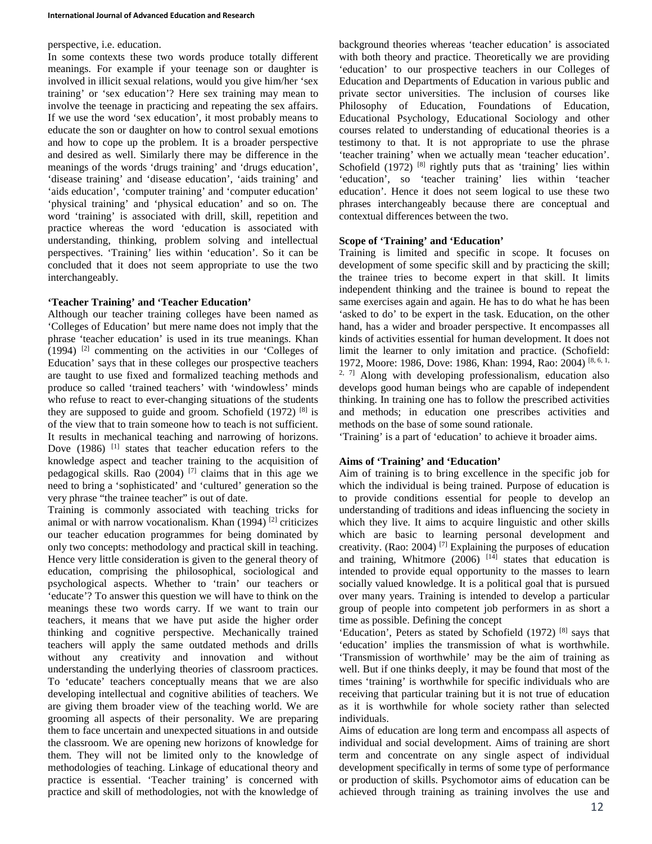### perspective, i.e. education.

In some contexts these two words produce totally different meanings. For example if your teenage son or daughter is involved in illicit sexual relations, would you give him/her 'sex training' or 'sex education'? Here sex training may mean to involve the teenage in practicing and repeating the sex affairs. If we use the word 'sex education', it most probably means to educate the son or daughter on how to control sexual emotions and how to cope up the problem. It is a broader perspective and desired as well. Similarly there may be difference in the meanings of the words 'drugs training' and 'drugs education', 'disease training' and 'disease education', 'aids training' and 'aids education', 'computer training' and 'computer education' 'physical training' and 'physical education' and so on. The word 'training' is associated with drill, skill, repetition and practice whereas the word 'education is associated with understanding, thinking, problem solving and intellectual perspectives. 'Training' lies within 'education'. So it can be concluded that it does not seem appropriate to use the two interchangeably.

# **'Teacher Training' and 'Teacher Education'**

Although our teacher training colleges have been named as 'Colleges of Education' but mere name does not imply that the phrase 'teacher education' is used in its true meanings. Khan (1994) [2] commenting on the activities in our 'Colleges of Education' says that in these colleges our prospective teachers are taught to use fixed and formalized teaching methods and produce so called 'trained teachers' with 'windowless' minds who refuse to react to ever-changing situations of the students they are supposed to guide and groom. Schofield  $(1972)$ <sup>[8]</sup> is of the view that to train someone how to teach is not sufficient. It results in mechanical teaching and narrowing of horizons. Dove (1986) <sup>[1]</sup> states that teacher education refers to the knowledge aspect and teacher training to the acquisition of pedagogical skills. Rao (2004)  $[7]$  claims that in this age we need to bring a 'sophisticated' and 'cultured' generation so the very phrase "the trainee teacher" is out of date.

Training is commonly associated with teaching tricks for animal or with narrow vocationalism. Khan  $(1994)$ <sup>[2]</sup> criticizes our teacher education programmes for being dominated by only two concepts: methodology and practical skill in teaching. Hence very little consideration is given to the general theory of education, comprising the philosophical, sociological and psychological aspects. Whether to 'train' our teachers or 'educate'? To answer this question we will have to think on the meanings these two words carry. If we want to train our teachers, it means that we have put aside the higher order thinking and cognitive perspective. Mechanically trained teachers will apply the same outdated methods and drills without any creativity and innovation and without understanding the underlying theories of classroom practices. To 'educate' teachers conceptually means that we are also developing intellectual and cognitive abilities of teachers. We are giving them broader view of the teaching world. We are grooming all aspects of their personality. We are preparing them to face uncertain and unexpected situations in and outside the classroom. We are opening new horizons of knowledge for them. They will not be limited only to the knowledge of methodologies of teaching. Linkage of educational theory and practice is essential. 'Teacher training' is concerned with practice and skill of methodologies, not with the knowledge of background theories whereas 'teacher education' is associated with both theory and practice. Theoretically we are providing 'education' to our prospective teachers in our Colleges of Education and Departments of Education in various public and private sector universities. The inclusion of courses like Philosophy of Education, Foundations of Education, Educational Psychology, Educational Sociology and other courses related to understanding of educational theories is a testimony to that. It is not appropriate to use the phrase 'teacher training' when we actually mean 'teacher education'. Schofield  $(1972)$ <sup>[8]</sup> rightly puts that as 'training' lies within 'education', so 'teacher training' lies within 'teacher education'. Hence it does not seem logical to use these two phrases interchangeably because there are conceptual and contextual differences between the two.

# **Scope of 'Training' and 'Education'**

Training is limited and specific in scope. It focuses on development of some specific skill and by practicing the skill; the trainee tries to become expert in that skill. It limits independent thinking and the trainee is bound to repeat the same exercises again and again. He has to do what he has been 'asked to do' to be expert in the task. Education, on the other hand, has a wider and broader perspective. It encompasses all kinds of activities essential for human development. It does not limit the learner to only imitation and practice. (Schofield: 1972, Moore: 1986, Dove: 1986, Khan: 1994, Rao: 2004) [8, 6, 1, <sup>2, 7]</sup> Along with developing professionalism, education also develops good human beings who are capable of independent thinking. In training one has to follow the prescribed activities and methods; in education one prescribes activities and methods on the base of some sound rationale.

'Training' is a part of 'education' to achieve it broader aims.

# **Aims of 'Training' and 'Education'**

Aim of training is to bring excellence in the specific job for which the individual is being trained. Purpose of education is to provide conditions essential for people to develop an understanding of traditions and ideas influencing the society in which they live. It aims to acquire linguistic and other skills which are basic to learning personal development and creativity. (Rao: 2004) [7] Explaining the purposes of education and training, Whitmore  $(2006)$ <sup>[14]</sup> states that education is intended to provide equal opportunity to the masses to learn socially valued knowledge. It is a political goal that is pursued over many years. Training is intended to develop a particular group of people into competent job performers in as short a time as possible. Defining the concept

'Education', Peters as stated by Schofield (1972) [8] says that 'education' implies the transmission of what is worthwhile. 'Transmission of worthwhile' may be the aim of training as well. But if one thinks deeply, it may be found that most of the times 'training' is worthwhile for specific individuals who are receiving that particular training but it is not true of education as it is worthwhile for whole society rather than selected individuals.

Aims of education are long term and encompass all aspects of individual and social development. Aims of training are short term and concentrate on any single aspect of individual development specifically in terms of some type of performance or production of skills. Psychomotor aims of education can be achieved through training as training involves the use and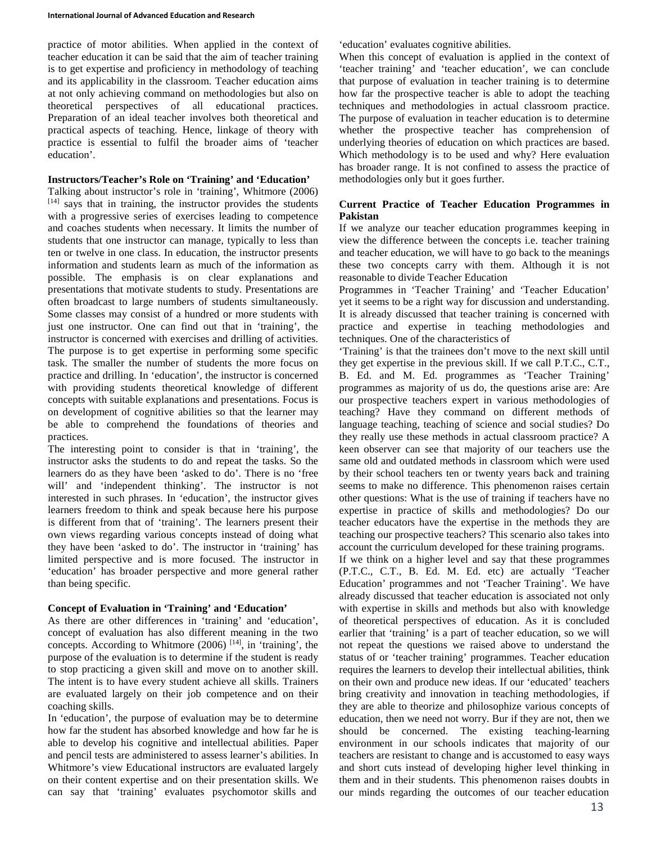practice of motor abilities. When applied in the context of teacher education it can be said that the aim of teacher training is to get expertise and proficiency in methodology of teaching and its applicability in the classroom. Teacher education aims at not only achieving command on methodologies but also on theoretical perspectives of all educational practices. Preparation of an ideal teacher involves both theoretical and practical aspects of teaching. Hence, linkage of theory with practice is essential to fulfil the broader aims of 'teacher education'.

### **Instructors/Teacher's Role on 'Training' and 'Education'**

Talking about instructor's role in 'training', Whitmore (2006)  $[14]$  says that in training, the instructor provides the students with a progressive series of exercises leading to competence and coaches students when necessary. It limits the number of students that one instructor can manage, typically to less than ten or twelve in one class. In education, the instructor presents information and students learn as much of the information as possible. The emphasis is on clear explanations and presentations that motivate students to study. Presentations are often broadcast to large numbers of students simultaneously. Some classes may consist of a hundred or more students with just one instructor. One can find out that in 'training', the instructor is concerned with exercises and drilling of activities. The purpose is to get expertise in performing some specific task. The smaller the number of students the more focus on practice and drilling. In 'education', the instructor is concerned with providing students theoretical knowledge of different concepts with suitable explanations and presentations. Focus is on development of cognitive abilities so that the learner may be able to comprehend the foundations of theories and practices.

The interesting point to consider is that in 'training', the instructor asks the students to do and repeat the tasks. So the learners do as they have been 'asked to do'. There is no 'free will' and 'independent thinking'. The instructor is not interested in such phrases. In 'education', the instructor gives learners freedom to think and speak because here his purpose is different from that of 'training'. The learners present their own views regarding various concepts instead of doing what they have been 'asked to do'. The instructor in 'training' has limited perspective and is more focused. The instructor in 'education' has broader perspective and more general rather than being specific.

## **Concept of Evaluation in 'Training' and 'Education'**

As there are other differences in 'training' and 'education', concept of evaluation has also different meaning in the two concepts. According to Whitmore  $(2006)$  [14], in 'training', the purpose of the evaluation is to determine if the student is ready to stop practicing a given skill and move on to another skill. The intent is to have every student achieve all skills. Trainers are evaluated largely on their job competence and on their coaching skills.

In 'education', the purpose of evaluation may be to determine how far the student has absorbed knowledge and how far he is able to develop his cognitive and intellectual abilities. Paper and pencil tests are administered to assess learner's abilities. In Whitmore's view Educational instructors are evaluated largely on their content expertise and on their presentation skills. We can say that 'training' evaluates psychomotor skills and 'education' evaluates cognitive abilities.

When this concept of evaluation is applied in the context of 'teacher training' and 'teacher education', we can conclude that purpose of evaluation in teacher training is to determine how far the prospective teacher is able to adopt the teaching techniques and methodologies in actual classroom practice. The purpose of evaluation in teacher education is to determine whether the prospective teacher has comprehension of underlying theories of education on which practices are based. Which methodology is to be used and why? Here evaluation has broader range. It is not confined to assess the practice of methodologies only but it goes further.

## **Current Practice of Teacher Education Programmes in Pakistan**

If we analyze our teacher education programmes keeping in view the difference between the concepts i.e. teacher training and teacher education, we will have to go back to the meanings these two concepts carry with them. Although it is not reasonable to divide Teacher Education

Programmes in 'Teacher Training' and 'Teacher Education' yet it seems to be a right way for discussion and understanding. It is already discussed that teacher training is concerned with practice and expertise in teaching methodologies and techniques. One of the characteristics of

'Training' is that the trainees don't move to the next skill until they get expertise in the previous skill. If we call P.T.C., C.T., B. Ed. and M. Ed. programmes as 'Teacher Training' programmes as majority of us do, the questions arise are: Are our prospective teachers expert in various methodologies of teaching? Have they command on different methods of language teaching, teaching of science and social studies? Do they really use these methods in actual classroom practice? A keen observer can see that majority of our teachers use the same old and outdated methods in classroom which were used by their school teachers ten or twenty years back and training seems to make no difference. This phenomenon raises certain other questions: What is the use of training if teachers have no expertise in practice of skills and methodologies? Do our teacher educators have the expertise in the methods they are teaching our prospective teachers? This scenario also takes into account the curriculum developed for these training programs.

If we think on a higher level and say that these programmes (P.T.C., C.T., B. Ed. M. Ed. etc) are actually 'Teacher Education' programmes and not 'Teacher Training'. We have already discussed that teacher education is associated not only with expertise in skills and methods but also with knowledge of theoretical perspectives of education. As it is concluded earlier that 'training' is a part of teacher education, so we will not repeat the questions we raised above to understand the status of or 'teacher training' programmes. Teacher education requires the learners to develop their intellectual abilities, think on their own and produce new ideas. If our 'educated' teachers bring creativity and innovation in teaching methodologies, if they are able to theorize and philosophize various concepts of education, then we need not worry. Bur if they are not, then we should be concerned. The existing teaching-learning environment in our schools indicates that majority of our teachers are resistant to change and is accustomed to easy ways and short cuts instead of developing higher level thinking in them and in their students. This phenomenon raises doubts in our minds regarding the outcomes of our teacher education